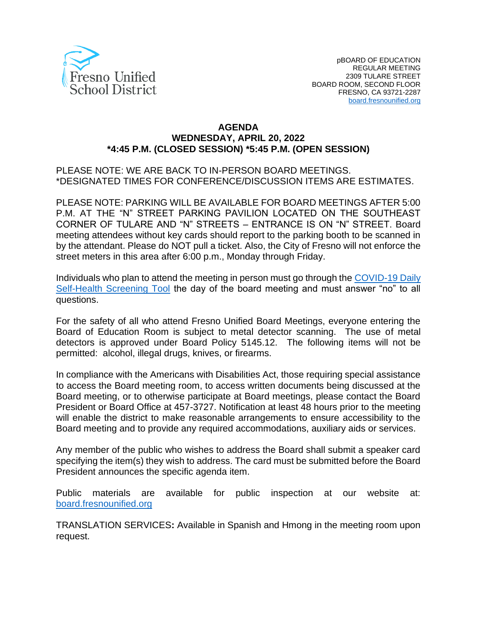

### **AGENDA WEDNESDAY, APRIL 20, 2022 \*4:45 P.M. (CLOSED SESSION) \*5:45 P.M. (OPEN SESSION)**

PLEASE NOTE: WE ARE BACK TO IN-PERSON BOARD MEETINGS. \*DESIGNATED TIMES FOR CONFERENCE/DISCUSSION ITEMS ARE ESTIMATES.

PLEASE NOTE: PARKING WILL BE AVAILABLE FOR BOARD MEETINGS AFTER 5:00 P.M. AT THE "N" STREET PARKING PAVILION LOCATED ON THE SOUTHEAST CORNER OF TULARE AND "N" STREETS – ENTRANCE IS ON "N" STREET. Board meeting attendees without key cards should report to the parking booth to be scanned in by the attendant. Please do NOT pull a ticket. Also, the City of Fresno will not enforce the street meters in this area after 6:00 p.m., Monday through Friday.

Individuals who plan to attend the meeting in person must go through the [COVID-19 Daily](https://www.fresnounified.org/covid19/) [Self-Health Screening Tool](https://www.fresnounified.org/covid19/) the day of the board meeting and must answer "no" to all questions.

For the safety of all who attend Fresno Unified Board Meetings, everyone entering the Board of Education Room is subject to metal detector scanning. The use of metal detectors is approved under Board Policy 5145.12. The following items will not be permitted: alcohol, illegal drugs, knives, or firearms.

In compliance with the Americans with Disabilities Act, those requiring special assistance to access the Board meeting room, to access written documents being discussed at the Board meeting, or to otherwise participate at Board meetings, please contact the Board President or Board Office at 457-3727. Notification at least 48 hours prior to the meeting will enable the district to make reasonable arrangements to ensure accessibility to the Board meeting and to provide any required accommodations, auxiliary aids or services.

Any member of the public who wishes to address the Board shall submit a speaker card specifying the item(s) they wish to address. The card must be submitted before the Board President announces the specific agenda item.

Public materials are available for public inspection at our website at: [board.fresnounified.org](https://board.fresnounified.org/)

TRANSLATION SERVICES**:** Available in Spanish and Hmong in the meeting room upon request.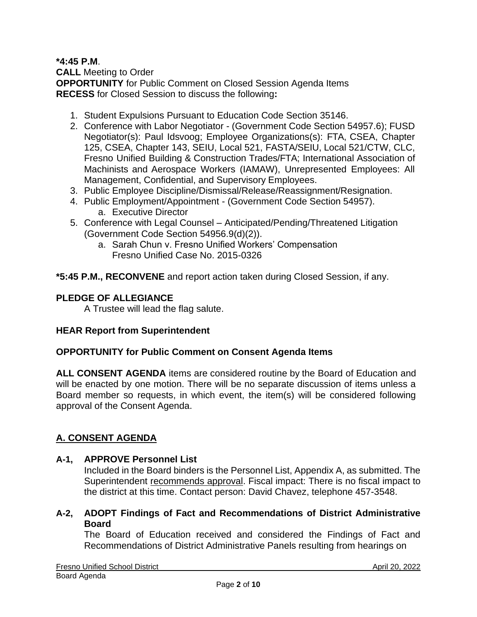### **\*4:45 P.M**.

**CALL** Meeting to Order **OPPORTUNITY** for Public Comment on Closed Session Agenda Items **RECESS** for Closed Session to discuss the following**:**

- 1. Student Expulsions Pursuant to Education Code Section 35146.
- 2. Conference with Labor Negotiator (Government Code Section 54957.6); FUSD Negotiator(s): Paul Idsvoog; Employee Organizations(s): FTA, CSEA, Chapter 125, CSEA, Chapter 143, SEIU, Local 521, FASTA/SEIU, Local 521/CTW, CLC, Fresno Unified Building & Construction Trades/FTA; International Association of Machinists and Aerospace Workers (IAMAW), Unrepresented Employees: All Management, Confidential, and Supervisory Employees.
- 3. Public Employee Discipline/Dismissal/Release/Reassignment/Resignation.
- 4. Public Employment/Appointment (Government Code Section 54957).
	- a. Executive Director
- 5. Conference with Legal Counsel Anticipated/Pending/Threatened Litigation (Government Code Section 54956.9(d)(2)).
	- a. Sarah Chun v. Fresno Unified Workers' Compensation Fresno Unified Case No. 2015-0326

**\*5:45 P.M., RECONVENE** and report action taken during Closed Session, if any.

### **PLEDGE OF ALLEGIANCE**

A Trustee will lead the flag salute.

## **HEAR Report from Superintendent**

### **OPPORTUNITY for Public Comment on Consent Agenda Items**

**ALL CONSENT AGENDA** items are considered routine by the Board of Education and will be enacted by one motion. There will be no separate discussion of items unless a Board member so requests, in which event, the item(s) will be considered following approval of the Consent Agenda.

## **A. CONSENT AGENDA**

### **A-1, APPROVE Personnel List**

Included in the Board binders is the Personnel List, Appendix A, as submitted. The Superintendent recommends approval. Fiscal impact: There is no fiscal impact to the district at this time. Contact person: David Chavez, telephone 457-3548.

**A-2, ADOPT Findings of Fact and Recommendations of District Administrative Board**

The Board of Education received and considered the Findings of Fact and Recommendations of District Administrative Panels resulting from hearings on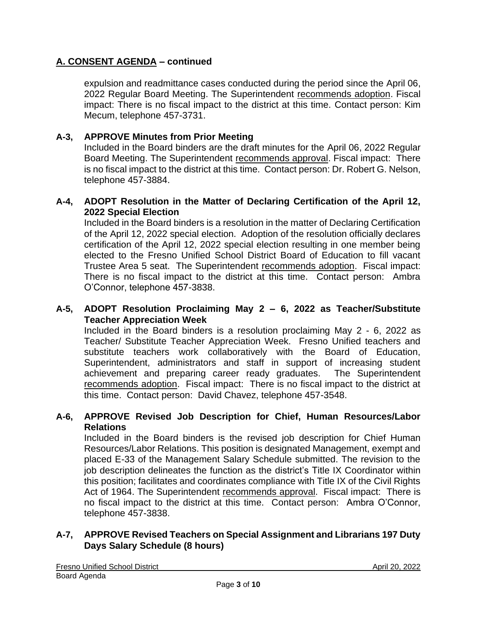expulsion and readmittance cases conducted during the period since the April 06, 2022 Regular Board Meeting. The Superintendent recommends adoption. Fiscal impact: There is no fiscal impact to the district at this time. Contact person: Kim Mecum, telephone 457-3731.

### **A-3, APPROVE Minutes from Prior Meeting**

Included in the Board binders are the draft minutes for the April 06, 2022 Regular Board Meeting. The Superintendent recommends approval. Fiscal impact: There is no fiscal impact to the district at this time. Contact person: Dr. Robert G. Nelson, telephone 457-3884.

### **A-4, ADOPT Resolution in the Matter of Declaring Certification of the April 12, 2022 Special Election**

Included in the Board binders is a resolution in the matter of Declaring Certification of the April 12, 2022 special election. Adoption of the resolution officially declares certification of the April 12, 2022 special election resulting in one member being elected to the Fresno Unified School District Board of Education to fill vacant Trustee Area 5 seat. The Superintendent recommends adoption. Fiscal impact: There is no fiscal impact to the district at this time. Contact person: Ambra O'Connor, telephone 457-3838.

### **A-5, ADOPT Resolution Proclaiming May 2 – 6, 2022 as Teacher/Substitute Teacher Appreciation Week**

Included in the Board binders is a resolution proclaiming May 2 - 6, 2022 as Teacher/ Substitute Teacher Appreciation Week. Fresno Unified teachers and substitute teachers work collaboratively with the Board of Education, Superintendent, administrators and staff in support of increasing student achievement and preparing career ready graduates. The Superintendent recommends adoption. Fiscal impact: There is no fiscal impact to the district at this time. Contact person: David Chavez, telephone 457-3548.

### **A-6, APPROVE Revised Job Description for Chief, Human Resources/Labor Relations**

Included in the Board binders is the revised job description for Chief Human Resources/Labor Relations. This position is designated Management, exempt and placed E-33 of the Management Salary Schedule submitted. The revision to the job description delineates the function as the district's Title IX Coordinator within this position; facilitates and coordinates compliance with Title IX of the Civil Rights Act of 1964. The Superintendent recommends approval. Fiscal impact: There is no fiscal impact to the district at this time. Contact person: Ambra O'Connor, telephone 457-3838.

### **A-7, APPROVE Revised Teachers on Special Assignment and Librarians 197 Duty Days Salary Schedule (8 hours)**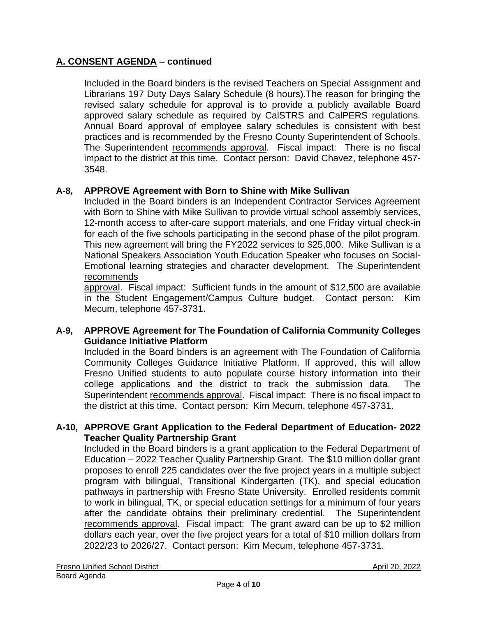Included in the Board binders is the revised Teachers on Special Assignment and Librarians 197 Duty Days Salary Schedule (8 hours).The reason for bringing the revised salary schedule for approval is to provide a publicly available Board approved salary schedule as required by CalSTRS and CalPERS regulations. Annual Board approval of employee salary schedules is consistent with best practices and is recommended by the Fresno County Superintendent of Schools. The Superintendent recommends approval. Fiscal impact: There is no fiscal impact to the district at this time. Contact person: David Chavez, telephone 457- 3548.

## **A-8, APPROVE Agreement with Born to Shine with Mike Sullivan**

Included in the Board binders is an Independent Contractor Services Agreement with Born to Shine with Mike Sullivan to provide virtual school assembly services, 12-month access to after-care support materials, and one Friday virtual check-in for each of the five schools participating in the second phase of the pilot program. This new agreement will bring the FY2022 services to \$25,000. Mike Sullivan is a National Speakers Association Youth Education Speaker who focuses on Social-Emotional learning strategies and character development. The Superintendent recommends

approval. Fiscal impact: Sufficient funds in the amount of \$12,500 are available in the Student Engagement/Campus Culture budget. Contact person: Kim Mecum, telephone 457-3731.

## **A-9, APPROVE Agreement for The Foundation of California Community Colleges Guidance Initiative Platform**

Included in the Board binders is an agreement with The Foundation of California Community Colleges Guidance Initiative Platform. If approved, this will allow Fresno Unified students to auto populate course history information into their college applications and the district to track the submission data. The Superintendent recommends approval. Fiscal impact: There is no fiscal impact to the district at this time. Contact person: Kim Mecum, telephone 457-3731.

### **A-10, APPROVE Grant Application to the Federal Department of Education- 2022 Teacher Quality Partnership Grant**

Included in the Board binders is a grant application to the Federal Department of Education – 2022 Teacher Quality Partnership Grant. The \$10 million dollar grant proposes to enroll 225 candidates over the five project years in a multiple subject program with bilingual, Transitional Kindergarten (TK), and special education pathways in partnership with Fresno State University. Enrolled residents commit to work in bilingual, TK, or special education settings for a minimum of four years after the candidate obtains their preliminary credential. The Superintendent recommends approval. Fiscal impact: The grant award can be up to \$2 million dollars each year, over the five project years for a total of \$10 million dollars from 2022/23 to 2026/27. Contact person: Kim Mecum, telephone 457-3731.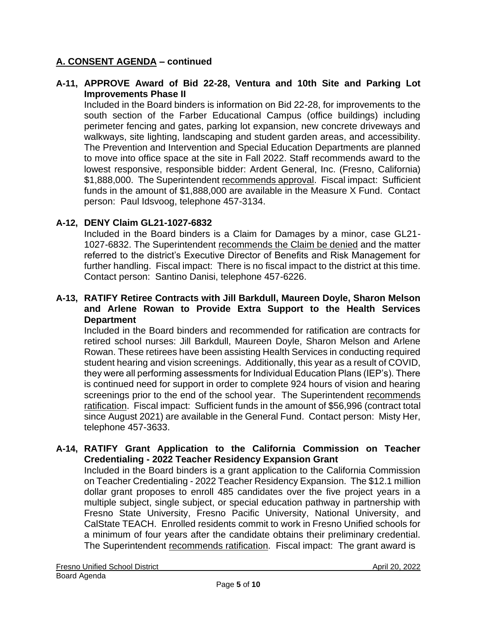### **A-11, APPROVE Award of Bid 22-28, Ventura and 10th Site and Parking Lot Improvements Phase II**

Included in the Board binders is information on Bid 22-28, for improvements to the south section of the Farber Educational Campus (office buildings) including perimeter fencing and gates, parking lot expansion, new concrete driveways and walkways, site lighting, landscaping and student garden areas, and accessibility. The Prevention and Intervention and Special Education Departments are planned to move into office space at the site in Fall 2022. Staff recommends award to the lowest responsive, responsible bidder: Ardent General, Inc. (Fresno, California) \$1,888,000. The Superintendent recommends approval. Fiscal impact: Sufficient funds in the amount of \$1,888,000 are available in the Measure X Fund. Contact person: Paul Idsvoog, telephone 457-3134.

### **A-12, DENY Claim GL21-1027-6832**

Included in the Board binders is a Claim for Damages by a minor, case GL21- 1027-6832. The Superintendent recommends the Claim be denied and the matter referred to the district's Executive Director of Benefits and Risk Management for further handling. Fiscal impact: There is no fiscal impact to the district at this time. Contact person: Santino Danisi, telephone 457-6226.

### **A-13, RATIFY Retiree Contracts with Jill Barkdull, Maureen Doyle, Sharon Melson and Arlene Rowan to Provide Extra Support to the Health Services Department**

Included in the Board binders and recommended for ratification are contracts for retired school nurses: Jill Barkdull, Maureen Doyle, Sharon Melson and Arlene Rowan. These retirees have been assisting Health Services in conducting required student hearing and vision screenings. Additionally, this year as a result of COVID, they were all performing assessments for Individual Education Plans (IEP's). There is continued need for support in order to complete 924 hours of vision and hearing screenings prior to the end of the school year. The Superintendent recommends ratification. Fiscal impact: Sufficient funds in the amount of \$56,996 (contract total since August 2021) are available in the General Fund. Contact person: Misty Her, telephone 457-3633.

### **A-14, RATIFY Grant Application to the California Commission on Teacher Credentialing - 2022 Teacher Residency Expansion Grant**

Included in the Board binders is a grant application to the California Commission on Teacher Credentialing - 2022 Teacher Residency Expansion. The \$12.1 million dollar grant proposes to enroll 485 candidates over the five project years in a multiple subject, single subject, or special education pathway in partnership with Fresno State University, Fresno Pacific University, National University, and CalState TEACH. Enrolled residents commit to work in Fresno Unified schools for a minimum of four years after the candidate obtains their preliminary credential. The Superintendent recommends ratification. Fiscal impact: The grant award is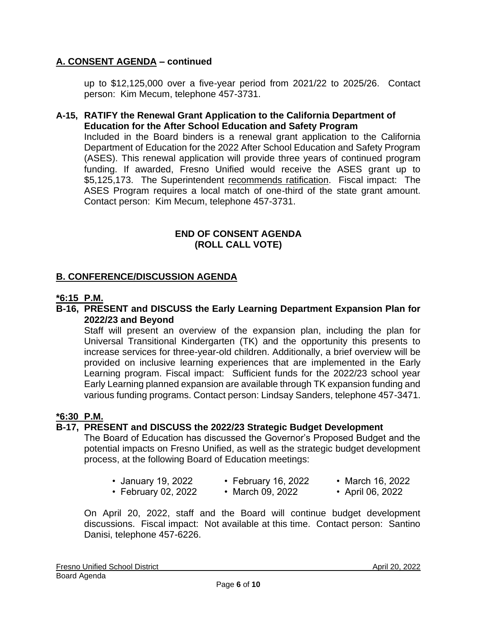up to \$12,125,000 over a five-year period from 2021/22 to 2025/26. Contact person: Kim Mecum, telephone 457-3731.

### **A-15, RATIFY the Renewal Grant Application to the California Department of Education for the After School Education and Safety Program**

Included in the Board binders is a renewal grant application to the California Department of Education for the 2022 After School Education and Safety Program (ASES). This renewal application will provide three years of continued program funding. If awarded, Fresno Unified would receive the ASES grant up to \$5,125,173. The Superintendent recommends ratification. Fiscal impact: The ASES Program requires a local match of one-third of the state grant amount. Contact person: Kim Mecum, telephone 457-3731.

### **END OF CONSENT AGENDA (ROLL CALL VOTE)**

## **B. CONFERENCE/DISCUSSION AGENDA**

#### **\*6:15 P.M.**

### **B-16, PRESENT and DISCUSS the Early Learning Department Expansion Plan for 2022/23 and Beyond**

Staff will present an overview of the expansion plan, including the plan for Universal Transitional Kindergarten (TK) and the opportunity this presents to increase services for three-year-old children. Additionally, a brief overview will be provided on inclusive learning experiences that are implemented in the Early Learning program. Fiscal impact: Sufficient funds for the 2022/23 school year Early Learning planned expansion are available through TK expansion funding and various funding programs. Contact person: Lindsay Sanders, telephone 457-3471.

#### **\*6:30 P.M.**

### **B-17, PRESENT and DISCUSS the 2022/23 Strategic Budget Development**

The Board of Education has discussed the Governor's Proposed Budget and the potential impacts on Fresno Unified, as well as the strategic budget development process, at the following Board of Education meetings:

- January 19, 2022 February 16, 2022 March 16, 2022
- February 02, 2022 March 09, 2022 April 06, 2022
- 
- 
- 

On April 20, 2022, staff and the Board will continue budget development discussions. Fiscal impact: Not available at this time. Contact person: Santino Danisi, telephone 457-6226.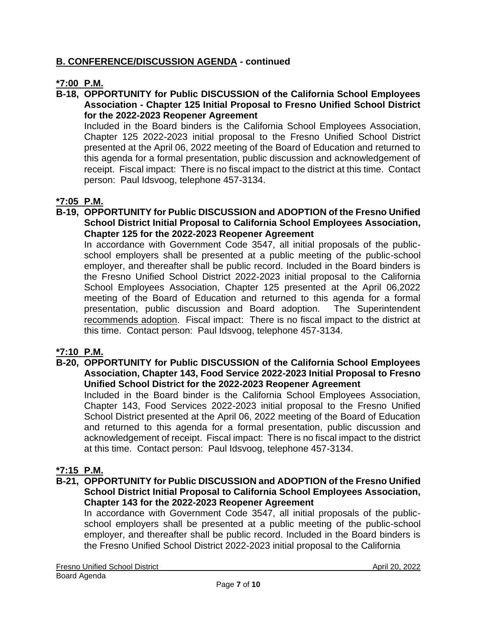# **B. CONFERENCE/DISCUSSION AGENDA - continued**

# **\*7:00 P.M.**

### **B-18, OPPORTUNITY for Public DISCUSSION of the California School Employees Association - Chapter 125 Initial Proposal to Fresno Unified School District for the 2022-2023 Reopener Agreement**

Included in the Board binders is the California School Employees Association, Chapter 125 2022-2023 initial proposal to the Fresno Unified School District presented at the April 06, 2022 meeting of the Board of Education and returned to this agenda for a formal presentation, public discussion and acknowledgement of receipt. Fiscal impact: There is no fiscal impact to the district at this time. Contact person: Paul Idsvoog, telephone 457-3134.

# **\*7:05 P.M.**

**B-19, OPPORTUNITY for Public DISCUSSION and ADOPTION of the Fresno Unified School District Initial Proposal to California School Employees Association, Chapter 125 for the 2022-2023 Reopener Agreement**

In accordance with Government Code 3547, all initial proposals of the publicschool employers shall be presented at a public meeting of the public-school employer, and thereafter shall be public record. Included in the Board binders is the Fresno Unified School District 2022-2023 initial proposal to the California School Employees Association, Chapter 125 presented at the April 06,2022 meeting of the Board of Education and returned to this agenda for a formal presentation, public discussion and Board adoption. The Superintendent recommends adoption. Fiscal impact: There is no fiscal impact to the district at this time. Contact person: Paul Idsvoog, telephone 457-3134.

## **\*7:10 P.M.**

**B-20, OPPORTUNITY for Public DISCUSSION of the California School Employees Association, Chapter 143, Food Service 2022-2023 Initial Proposal to Fresno Unified School District for the 2022-2023 Reopener Agreement**

Included in the Board binder is the California School Employees Association, Chapter 143, Food Services 2022-2023 initial proposal to the Fresno Unified School District presented at the April 06, 2022 meeting of the Board of Education and returned to this agenda for a formal presentation, public discussion and acknowledgement of receipt. Fiscal impact: There is no fiscal impact to the district at this time. Contact person: Paul Idsvoog, telephone 457-3134.

## **\*7:15 P.M.**

**B-21, OPPORTUNITY for Public DISCUSSION and ADOPTION of the Fresno Unified School District Initial Proposal to California School Employees Association, Chapter 143 for the 2022-2023 Reopener Agreement**

In accordance with Government Code 3547, all initial proposals of the publicschool employers shall be presented at a public meeting of the public-school employer, and thereafter shall be public record. Included in the Board binders is the Fresno Unified School District 2022-2023 initial proposal to the California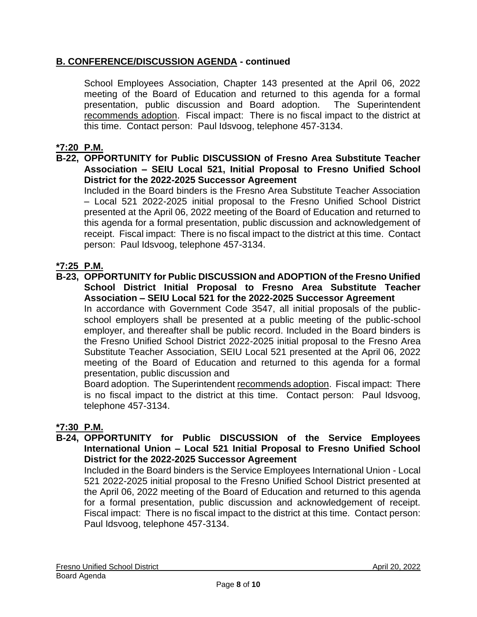# **B. CONFERENCE/DISCUSSION AGENDA - continued**

School Employees Association, Chapter 143 presented at the April 06, 2022 meeting of the Board of Education and returned to this agenda for a formal presentation, public discussion and Board adoption. The Superintendent recommends adoption. Fiscal impact: There is no fiscal impact to the district at this time. Contact person: Paul Idsvoog, telephone 457-3134.

## **\*7:20 P.M.**

### **B-22, OPPORTUNITY for Public DISCUSSION of Fresno Area Substitute Teacher Association – SEIU Local 521, Initial Proposal to Fresno Unified School District for the 2022-2025 Successor Agreement**

Included in the Board binders is the Fresno Area Substitute Teacher Association – Local 521 2022-2025 initial proposal to the Fresno Unified School District presented at the April 06, 2022 meeting of the Board of Education and returned to this agenda for a formal presentation, public discussion and acknowledgement of receipt. Fiscal impact: There is no fiscal impact to the district at this time. Contact person: Paul Idsvoog, telephone 457-3134.

## **\*7:25 P.M.**

**B-23, OPPORTUNITY for Public DISCUSSION and ADOPTION of the Fresno Unified School District Initial Proposal to Fresno Area Substitute Teacher Association – SEIU Local 521 for the 2022-2025 Successor Agreement**

In accordance with Government Code 3547, all initial proposals of the publicschool employers shall be presented at a public meeting of the public-school employer, and thereafter shall be public record. Included in the Board binders is the Fresno Unified School District 2022-2025 initial proposal to the Fresno Area Substitute Teacher Association, SEIU Local 521 presented at the April 06, 2022 meeting of the Board of Education and returned to this agenda for a formal presentation, public discussion and

Board adoption. The Superintendent recommends adoption. Fiscal impact: There is no fiscal impact to the district at this time. Contact person: Paul Idsvoog, telephone 457-3134.

## **\*7:30 P.M.**

### **B-24, OPPORTUNITY for Public DISCUSSION of the Service Employees International Union – Local 521 Initial Proposal to Fresno Unified School District for the 2022-2025 Successor Agreement**

Included in the Board binders is the Service Employees International Union - Local 521 2022-2025 initial proposal to the Fresno Unified School District presented at the April 06, 2022 meeting of the Board of Education and returned to this agenda for a formal presentation, public discussion and acknowledgement of receipt. Fiscal impact: There is no fiscal impact to the district at this time. Contact person: Paul Idsvoog, telephone 457-3134.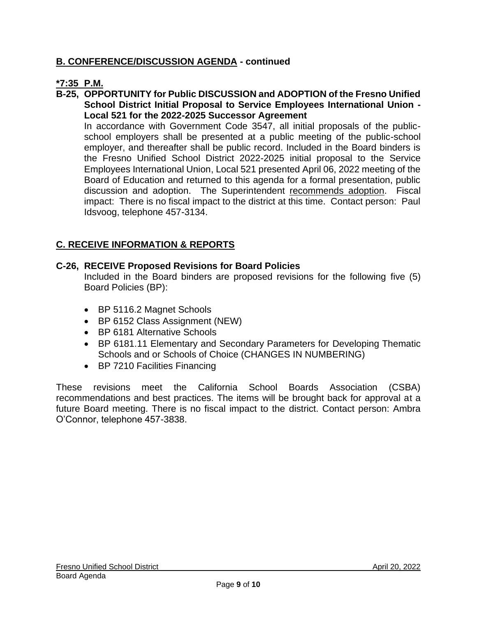# **B. CONFERENCE/DISCUSSION AGENDA - continued**

## **\*7:35 P.M.**

**B-25, OPPORTUNITY for Public DISCUSSION and ADOPTION of the Fresno Unified School District Initial Proposal to Service Employees International Union - Local 521 for the 2022-2025 Successor Agreement**

In accordance with Government Code 3547, all initial proposals of the publicschool employers shall be presented at a public meeting of the public-school employer, and thereafter shall be public record. Included in the Board binders is the Fresno Unified School District 2022-2025 initial proposal to the Service Employees International Union, Local 521 presented April 06, 2022 meeting of the Board of Education and returned to this agenda for a formal presentation, public discussion and adoption. The Superintendent recommends adoption. Fiscal impact: There is no fiscal impact to the district at this time. Contact person: Paul Idsvoog, telephone 457-3134.

## **C. RECEIVE INFORMATION & REPORTS**

### **C-26, RECEIVE Proposed Revisions for Board Policies**

Included in the Board binders are proposed revisions for the following five (5) Board Policies (BP):

- BP 5116.2 Magnet Schools
- BP 6152 Class Assignment (NEW)
- BP 6181 Alternative Schools
- BP 6181.11 Elementary and Secondary Parameters for Developing Thematic Schools and or Schools of Choice (CHANGES IN NUMBERING)
- BP 7210 Facilities Financing

These revisions meet the California School Boards Association (CSBA) recommendations and best practices. The items will be brought back for approval at a future Board meeting. There is no fiscal impact to the district. Contact person: Ambra O'Connor, telephone 457-3838.